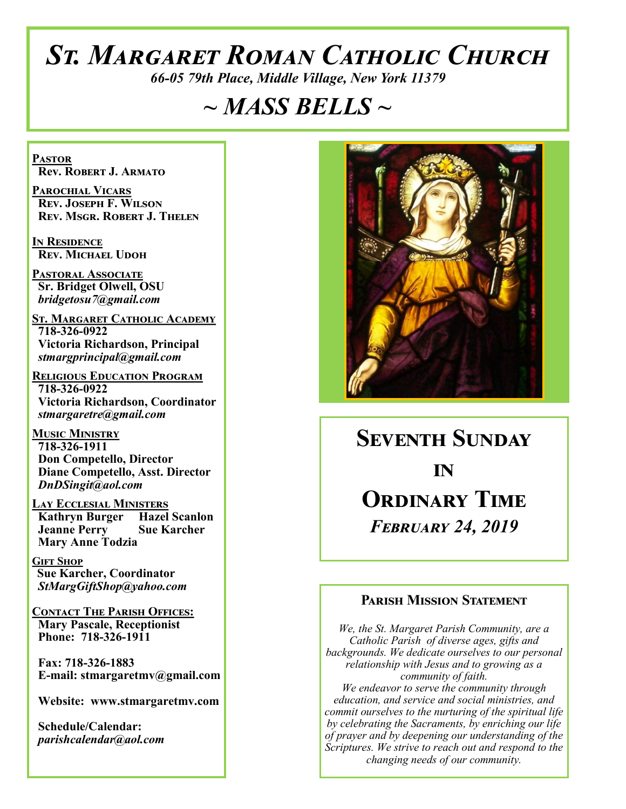# *St. Margaret Roman Catholic Church*

*66-05 79th Place, Middle Village, New York 11379*

# *~ MASS BELLS ~*

**Pastor Rev. Robert J. Armato**

**Parochial Vicars Rev. Joseph F. Wilson Rev. Msgr. Robert J. Thelen**

**In Residence Rev. Michael Udoh**

**Pastoral Associate Sr. Bridget Olwell, OSU**  *bridgetosu7@gmail.com*

**St. Margaret Catholic Academy 718-326-0922 Victoria Richardson, Principal**  *stmargprincipal@gmail.com*

**Religious Education Program 718-326-0922 Victoria Richardson, Coordinator** *stmargaretre@gmail.com*

**Music Ministry 718-326-1911 Don Competello, Director Diane Competello, Asst. Director** *DnDSingit@aol.com*

**Lay Ecclesial Ministers Kathryn Burger Hazel Scanlon**<br>**Jeanne Perry Sue Karcher Jeanne Perry Mary Anne Todzia**

**Gift Shop Sue Karcher, Coordinator** *StMargGiftShop@yahoo.com*

**Contact The Parish Offices: Mary Pascale, Receptionist Phone: 718-326-1911** 

 **Fax: 718-326-1883 E-mail: stmargaretmv@gmail.com**

 **Website: www.stmargaretmv.com**

 **Schedule/Calendar:** *parishcalendar@aol.com* 



**Seventh Sunday**  *in* **Ordinary Time** *February 24, 2019* 

#### **Parish Mission Statement**

*We, the St. Margaret Parish Community, are a Catholic Parish of diverse ages, gifts and backgrounds. We dedicate ourselves to our personal relationship with Jesus and to growing as a community of faith. We endeavor to serve the community through education, and service and social ministries, and commit ourselves to the nurturing of the spiritual life by celebrating the Sacraments, by enriching our life of prayer and by deepening our understanding of the Scriptures. We strive to reach out and respond to the changing needs of our community.*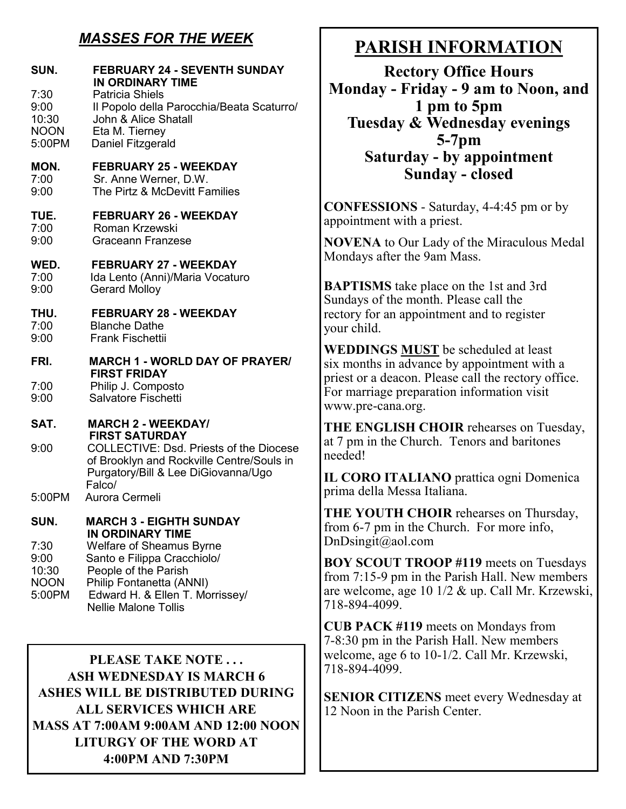### *MASSES FOR THE WEEK*

| SUN.                                                   | <b>FEBRUARY 24 - SEVENTH SUNDAY</b><br><b>IN ORDINARY TIME</b>                                                                                                                                                     |
|--------------------------------------------------------|--------------------------------------------------------------------------------------------------------------------------------------------------------------------------------------------------------------------|
| 7:30<br>9:00<br>10:30<br><b>NOON</b><br>5:00PM         | <b>Patricia Shiels</b><br>Il Popolo della Parocchia/Beata Scaturro/<br>John & Alice Shatall<br>Eta M. Tierney<br>Daniel Fitzgerald                                                                                 |
| MON.<br>7:00<br>9:00                                   | <b>FEBRUARY 25 - WEEKDAY</b><br>Sr. Anne Werner, D.W.<br>The Pirtz & McDevitt Families                                                                                                                             |
| TUE.<br>7:00<br>9:00                                   | <b>FEBRUARY 26 - WEEKDAY</b><br>Roman Krzewski<br><b>Graceann Franzese</b>                                                                                                                                         |
| WED.<br>7:00<br>9:00                                   | <b>FEBRUARY 27 - WEEKDAY</b><br>Ida Lento (Anni)/Maria Vocaturo<br><b>Gerard Molloy</b>                                                                                                                            |
| THU.<br>7:00<br>9:00                                   | <b>FEBRUARY 28 - WEEKDAY</b><br><b>Blanche Dathe</b><br><b>Frank Fischettii</b>                                                                                                                                    |
| FRI.<br>7:00<br>9:00                                   | <b>MARCH 1 - WORLD DAY OF PRAYER/</b><br><b>FIRST FRIDAY</b><br>Philip J. Composto<br>Salvatore Fischetti                                                                                                          |
| SAT.                                                   | <b>MARCH 2 - WEEKDAY/</b>                                                                                                                                                                                          |
| 9:00                                                   | <b>FIRST SATURDAY</b><br><b>COLLECTIVE: Dsd. Priests of the Diocese</b><br>of Brooklyn and Rockville Centre/Souls in<br>Purgatory/Bill & Lee DiGiovanna/Ugo<br>Falco/                                              |
| 5:00PM                                                 | Aurora Cermeli                                                                                                                                                                                                     |
| SUN.<br>7:30<br>9:00<br>10:30<br><b>NOON</b><br>5:00PM | <b>MARCH 3 - EIGHTH SUNDAY</b><br><b>IN ORDINARY TIME</b><br><b>Welfare of Sheamus Byrne</b><br>Santo e Filippa Cracchiolo/<br>People of the Parish<br>Philip Fontanetta (ANNI)<br>Edward H. & Ellen T. Morrissey/ |
|                                                        | <b>Nellie Malone Tollis</b>                                                                                                                                                                                        |

**PLEASE TAKE NOTE . . . ASH WEDNESDAY IS MARCH 6 ASHES WILL BE DISTRIBUTED DURING ALL SERVICES WHICH ARE MASS AT 7:00AM 9:00AM AND 12:00 NOON LITURGY OF THE WORD AT 4:00PM AND 7:30PM**

# **PARISH INFORMATION**

**Rectory Office Hours Monday - Friday - 9 am to Noon, and 1 pm to 5pm Tuesday & Wednesday evenings 5-7pm Saturday - by appointment Sunday - closed**

**CONFESSIONS** - Saturday, 4-4:45 pm or by appointment with a priest.

**NOVENA** to Our Lady of the Miraculous Medal Mondays after the 9am Mass.

**BAPTISMS** take place on the 1st and 3rd Sundays of the month. Please call the rectory for an appointment and to register your child.

**WEDDINGS MUST** be scheduled at least six months in advance by appointment with a priest or a deacon. Please call the rectory office. For marriage preparation information visit www.pre-cana.org.

**THE ENGLISH CHOIR** rehearses on Tuesday, at 7 pm in the Church. Tenors and baritones needed!

**IL CORO ITALIANO** prattica ogni Domenica prima della Messa Italiana.

**THE YOUTH CHOIR** rehearses on Thursday, from 6-7 pm in the Church. For more info, DnDsingit@aol.com

**BOY SCOUT TROOP #119** meets on Tuesdays from 7:15-9 pm in the Parish Hall. New members are welcome, age 10 1/2 & up. Call Mr. Krzewski, 718-894-4099.

**CUB PACK #119** meets on Mondays from 7-8:30 pm in the Parish Hall. New members welcome, age 6 to 10-1/2. Call Mr. Krzewski, 718-894-4099.

**SENIOR CITIZENS** meet every Wednesday at 12 Noon in the Parish Center.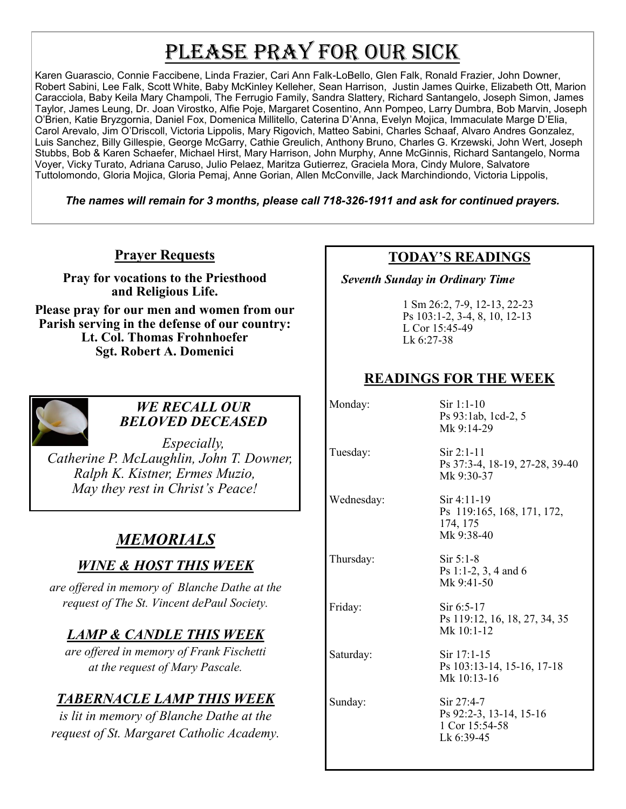# PLEASE PRAY FOR OUR SICK

Karen Guarascio, Connie Faccibene, Linda Frazier, Cari Ann Falk-LoBello, Glen Falk, Ronald Frazier, John Downer, Robert Sabini, Lee Falk, Scott White, Baby McKinley Kelleher, Sean Harrison, Justin James Quirke, Elizabeth Ott, Marion Caracciola, Baby Keila Mary Champoli, The Ferrugio Family, Sandra Slattery, Richard Santangelo, Joseph Simon, James Taylor, James Leung, Dr. Joan Virostko, Alfie Poje, Margaret Cosentino, Ann Pompeo, Larry Dumbra, Bob Marvin, Joseph O'Brien, Katie Bryzgornia, Daniel Fox, Domenica Millitello, Caterina D'Anna, Evelyn Mojica, Immaculate Marge D'Elia, Carol Arevalo, Jim O'Driscoll, Victoria Lippolis, Mary Rigovich, Matteo Sabini, Charles Schaaf, Alvaro Andres Gonzalez, Luis Sanchez, Billy Gillespie, George McGarry, Cathie Greulich, Anthony Bruno, Charles G. Krzewski, John Wert, Joseph Stubbs, Bob & Karen Schaefer, Michael Hirst, Mary Harrison, John Murphy, Anne McGinnis, Richard Santangelo, Norma Voyer, Vicky Turato, Adriana Caruso, Julio Pelaez, Maritza Gutierrez, Graciela Mora, Cindy Mulore, Salvatore Tuttolomondo, Gloria Mojica, Gloria Pemaj, Anne Gorian, Allen McConville, Jack Marchindiondo, Victoria Lippolis,

*The names will remain for 3 months, please call 718-326-1911 and ask for continued prayers.*

### **Prayer Requests**

**Pray for vocations to the Priesthood and Religious Life.** 

**Please pray for our men and women from our Parish serving in the defense of our country: Lt. Col. Thomas Frohnhoefer Sgt. Robert A. Domenici** 



#### *WE RECALL OUR BELOVED DECEASED*

*Especially, Catherine P. McLaughlin, John T. Downer, Ralph K. Kistner, Ermes Muzio, May they rest in Christ's Peace!*

# *MEMORIALS*

### *WINE & HOST THIS WEEK*

*are offered in memory of Blanche Dathe at the request of The St. Vincent dePaul Society.* 

### *LAMP & CANDLE THIS WEEK*

*are offered in memory of Frank Fischetti at the request of Mary Pascale.* 

## *TABERNACLE LAMP THIS WEEK*

*is lit in memory of Blanche Dathe at the request of St. Margaret Catholic Academy.* 

### **TODAY'S READINGS**

 *Seventh Sunday in Ordinary Time*

1 Sm 26:2, 7-9, 12-13, 22-23 Ps 103:1-2, 3-4, 8, 10, 12-13 L Cor 15:45-49 Lk 6:27-38

### **READINGS FOR THE WEEK**

Monday: Sir 1:1-10 Ps 93:1ab, 1cd-2, 5 Mk 9:14-29 Tuesday: Sir 2:1-11 Ps 37:3-4, 18-19, 27-28, 39-40 Mk 9:30-37 Wednesday: Sir 4:11-19 Ps 119:165, 168, 171, 172, 174, 175 Mk 9:38-40 Thursday: Sir 5:1-8 Ps 1:1-2, 3, 4 and 6 Mk 9:41-50 Friday: Sir 6:5-17 Ps 119:12, 16, 18, 27, 34, 35 Mk 10:1-12 Saturday: Sir 17:1-15 Ps 103:13-14, 15-16, 17-18 Mk 10:13-16 Sunday: Sir 27:4-7 Ps 92:2-3, 13-14, 15-16 1 Cor 15:54-58

Lk 6:39-45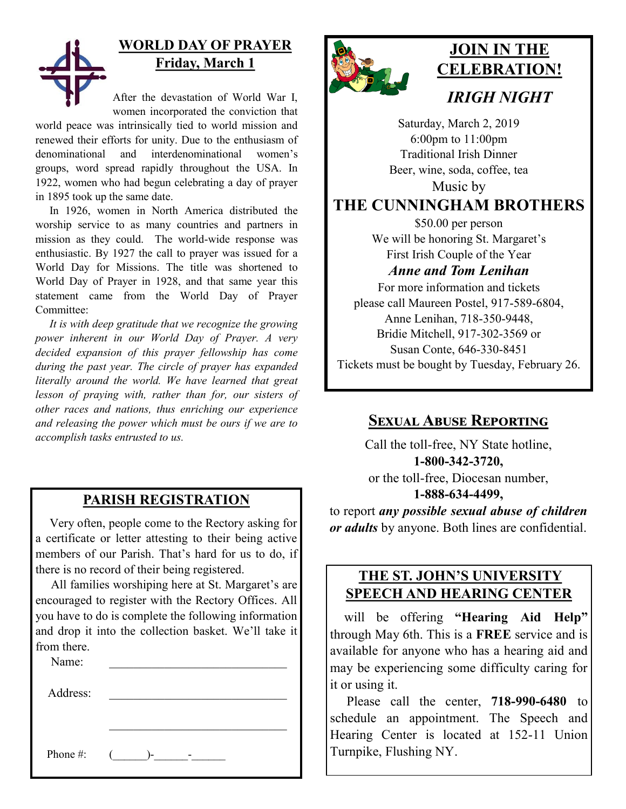

# **WORLD DAY OF PRAYER Friday, March 1**

After the devastation of World War I, women incorporated the conviction that

world peace was intrinsically tied to world mission and renewed their efforts for unity. Due to the enthusiasm of denominational and interdenominational women's groups, word spread rapidly throughout the USA. In 1922, women who had begun celebrating a day of prayer in 1895 took up the same date.

 In 1926, women in North America distributed the worship service to as many countries and partners in mission as they could. The world-wide response was enthusiastic. By 1927 the call to prayer was issued for a World Day for Missions. The title was shortened to World Day of Prayer in 1928, and that same year this statement came from the World Day of Prayer Committee:

 *It is with deep gratitude that we recognize the growing power inherent in our World Day of Prayer. A very decided expansion of this prayer fellowship has come during the past year. The circle of prayer has expanded literally around the world. We have learned that great lesson of praying with, rather than for, our sisters of other races and nations, thus enriching our experience and releasing the power which must be ours if we are to accomplish tasks entrusted to us.* 

### **PARISH REGISTRATION**

 Very often, people come to the Rectory asking for a certificate or letter attesting to their being active members of our Parish. That's hard for us to do, if there is no record of their being registered.

 All families worshiping here at St. Margaret's are encouraged to register with the Rectory Offices. All you have to do is complete the following information and drop it into the collection basket. We'll take it from there.

Name:

Address:

Phone #:  $($   $)$ -  $-$ 



# **JOIN IN THE CELEBRATION!** *IRIGH NIGHT*

Saturday, March 2, 2019 6:00pm to 11:00pm Traditional Irish Dinner Beer, wine, soda, coffee, tea Music by

**THE CUNNINGHAM BROTHERS**

\$50.00 per person We will be honoring St. Margaret's First Irish Couple of the Year

*Anne and Tom Lenihan*

For more information and tickets please call Maureen Postel, 917-589-6804, Anne Lenihan, 718-350-9448, Bridie Mitchell, 917-302-3569 or Susan Conte, 646-330-8451 Tickets must be bought by Tuesday, February 26.

### **Sexual Abuse Reporting**

Call the toll-free, NY State hotline, **1-800-342-3720,** or the toll-free, Diocesan number, **1-888-634-4499,**

to report *any possible sexual abuse of children or adults* by anyone. Both lines are confidential.

### **THE ST. JOHN'S UNIVERSITY SPEECH AND HEARING CENTER**

 will be offering **"Hearing Aid Help"**  through May 6th. This is a **FREE** service and is available for anyone who has a hearing aid and may be experiencing some difficulty caring for it or using it.

 Please call the center, **718-990-6480** to schedule an appointment. The Speech and Hearing Center is located at 152-11 Union Turnpike, Flushing NY.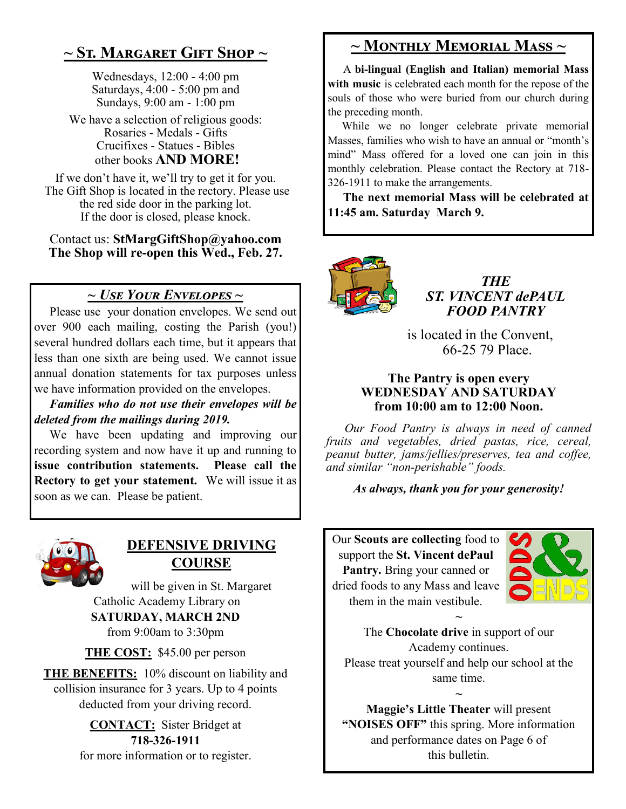# **~ St. Margaret Gift Shop ~**

Wednesdays, 12:00 - 4:00 pm Saturdays, 4:00 - 5:00 pm and Sundays, 9:00 am - 1:00 pm

We have a selection of religious goods: Rosaries - Medals - Gifts Crucifixes - Statues - Bibles other books **AND MORE!**

If we don't have it, we'll try to get it for you. The Gift Shop is located in the rectory. Please use the red side door in the parking lot. If the door is closed, please knock.

Contact us: **StMargGiftShop@yahoo.com The Shop will re-open this Wed., Feb. 27.**

### *~ Use Your Envelopes ~*

Please use your donation envelopes. We send out over 900 each mailing, costing the Parish (you!) several hundred dollars each time, but it appears that less than one sixth are being used. We cannot issue annual donation statements for tax purposes unless we have information provided on the envelopes.

 *Families who do not use their envelopes will be deleted from the mailings during 2019.*

 We have been updating and improving our recording system and now have it up and running to **issue contribution statements. Please call the Rectory to get your statement.** We will issue it as soon as we can. Please be patient.



### **DEFENSIVE DRIVING COURSE**

will be given in St. Margaret Catholic Academy Library on **SATURDAY, MARCH 2ND** from 9:00am to 3:30pm

**THE COST:** \$45.00 per person

**THE BENEFITS:** 10% discount on liability and collision insurance for 3 years. Up to 4 points deducted from your driving record.

> **CONTACT:** Sister Bridget at **718-326-1911** for more information or to register.

## **~ Monthly Memorial Mass ~**

 A **bi-lingual (English and Italian) memorial Mass with music** is celebrated each month for the repose of the souls of those who were buried from our church during the preceding month.

 While we no longer celebrate private memorial Masses, families who wish to have an annual or "month's mind" Mass offered for a loved one can join in this monthly celebration. Please contact the Rectory at 718- 326-1911 to make the arrangements.

 **The next memorial Mass will be celebrated at 11:45 am. Saturday March 9.** 



*THE ST. VINCENT dePAUL FOOD PANTRY*

 is located in the Convent, 66-25 79 Place.

#### **The Pantry is open every WEDNESDAY AND SATURDAY from 10:00 am to 12:00 Noon.**

 *Our Food Pantry is always in need of canned fruits and vegetables, dried pastas, rice, cereal, peanut butter, jams/jellies/preserves, tea and coffee, and similar "non-perishable" foods.*

*As always, thank you for your generosity!*

Our **Scouts are collecting** food to support the **St. Vincent dePaul Pantry.** Bring your canned or dried foods to any Mass and leave them in the main vestibule.



The **Chocolate drive** in support of our Academy continues. Please treat yourself and help our school at the same time.

**~**

**~ Maggie's Little Theater** will present **"NOISES OFF"** this spring. More information and performance dates on Page 6 of this bulletin.